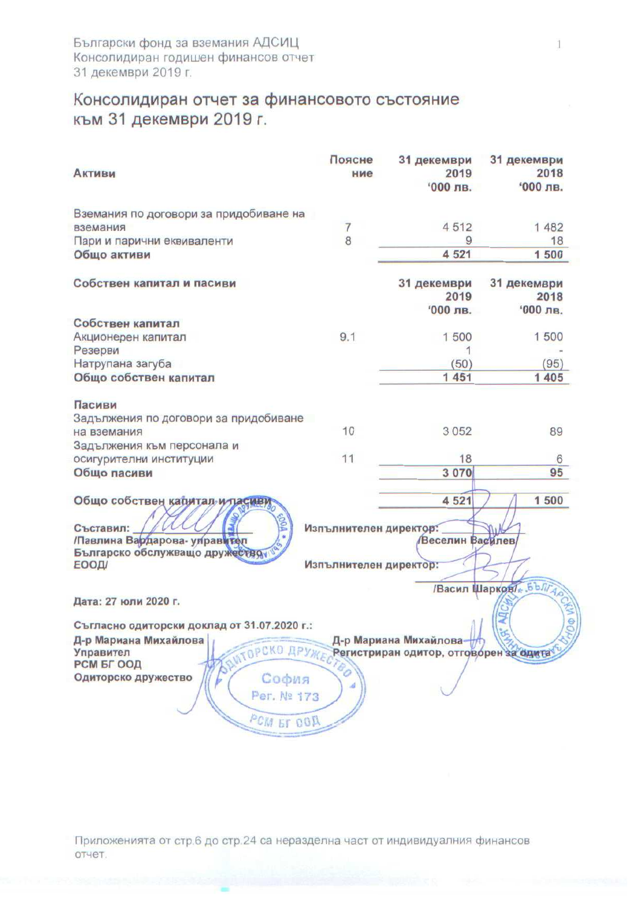## Консолидиран отчет за финансовото състояние към 31 декември 2019 г.

| <b>Активи</b>                                                                                                                                                            | Поясне<br>ние                                    | 31 декември<br>2019<br>$000$ лв.                                 | 31 декември<br>2018<br>$000$ лв. |
|--------------------------------------------------------------------------------------------------------------------------------------------------------------------------|--------------------------------------------------|------------------------------------------------------------------|----------------------------------|
| Вземания по договори за придобиване на                                                                                                                                   |                                                  |                                                                  |                                  |
| вземания                                                                                                                                                                 | $\overline{7}$                                   | 4512                                                             | 1 482                            |
| Пари и парични еквиваленти                                                                                                                                               | 8                                                | 9                                                                | 18                               |
| Общо активи                                                                                                                                                              |                                                  | 4 5 21                                                           | 1500                             |
| Собствен капитал и пасиви                                                                                                                                                |                                                  | 31 декември<br>2019                                              | 31 декември<br>2018              |
|                                                                                                                                                                          |                                                  | $000$ лв.                                                        | '000 лв.                         |
| Собствен капитал                                                                                                                                                         | 9.1                                              | 1500                                                             | 1500                             |
| Акционерен капитал<br>Резерви                                                                                                                                            |                                                  |                                                                  |                                  |
| Натрупана загуба                                                                                                                                                         |                                                  | (50)                                                             | (95)                             |
| Общо собствен капитал                                                                                                                                                    |                                                  | 1451                                                             | 1 4 0 5                          |
| Пасиви<br>Задължения по договори за придобиване<br>на вземания<br>Задължения към персонала и<br>осигурителни институции<br>Общо пасиви<br>Общо собствен капитал и пасиву | 10<br>11                                         | 3 0 5 2<br>18<br>3 0 7 0<br>4 5 2 1                              | 89<br>6<br>95<br>1 500           |
| Съставил:<br>/Павлина Вардарова- улравител<br>Българско обслужващо дружество<br><b>ЕООД/</b>                                                                             | Изпълнителен директор:<br>Изпълнителен директор: | Веселин Василев                                                  |                                  |
|                                                                                                                                                                          |                                                  |                                                                  |                                  |
| Дата: 27 юли 2020 г.                                                                                                                                                     |                                                  |                                                                  | /Васил Шарков - БЪЛГА<br>OO VIT  |
| Съгласно одиторски доклад от 31.07.2020 г.:<br>Д-р Мариана Михайлова<br>Дриторско друже<br>Управител                                                                     |                                                  | Д-р Мариана Михайлова-<br>Регистриран одитор, отговорен за одита |                                  |
| РСМ БГ ООД<br>Одиторско дружество<br>София<br>Per. Nº 173<br>PCM ET COA                                                                                                  |                                                  |                                                                  |                                  |

Приложенията от стр.6 до стр.24 са неразделна част от индивидуалния финансов отчет.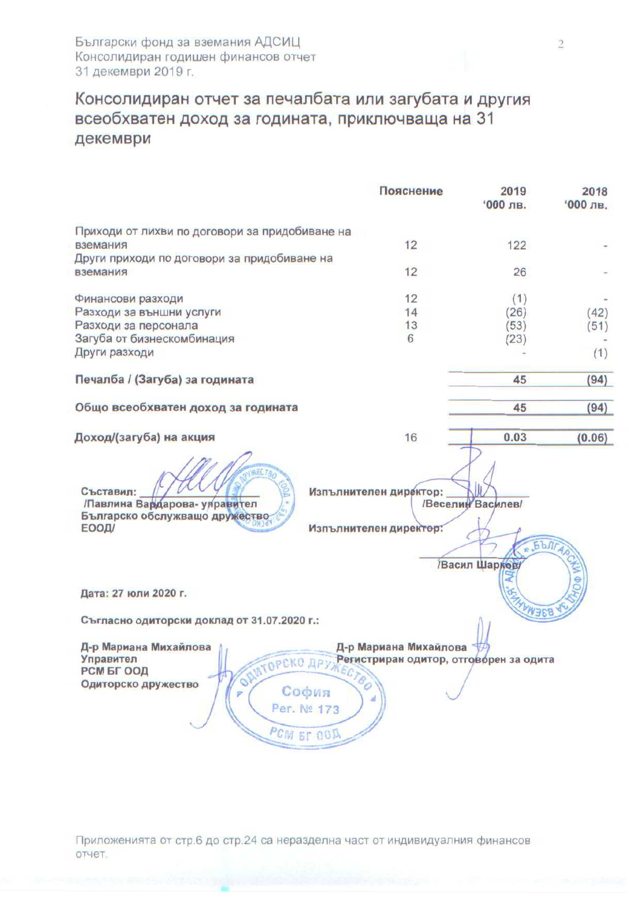## Консолидиран отчет за печалбата или загубата и другия всеобхватен доход за годината, приключваща на 31 декември

|                                                                                                                     | Пояснение                                                                | 2019<br>'000 лв.                  | 2018<br>$'000$ лв. |
|---------------------------------------------------------------------------------------------------------------------|--------------------------------------------------------------------------|-----------------------------------|--------------------|
| Приходи от лихви по договори за придобиване на<br>вземания                                                          | 12                                                                       | 122                               |                    |
|                                                                                                                     |                                                                          |                                   |                    |
| Други приходи по договори за придобиване на<br>вземания                                                             | 12                                                                       | 26                                |                    |
| Финансови разходи                                                                                                   | 12                                                                       | (1)                               |                    |
| Разходи за външни услуги                                                                                            | 14                                                                       | (26)                              | (42)               |
| Разходи за персонала                                                                                                | 13                                                                       | (53)                              | (51)               |
| Загуба от бизнескомбинация                                                                                          | 6                                                                        |                                   |                    |
|                                                                                                                     |                                                                          | (23)                              |                    |
| Други разходи                                                                                                       |                                                                          |                                   | (1)                |
| Печалба / (Загуба) за годината                                                                                      |                                                                          | 45                                | (94)               |
| Общо всеобхватен доход за годината                                                                                  |                                                                          | 45                                | (94)               |
| Доход/(загуба) на акция                                                                                             | 16                                                                       | 0.03                              | (0.06)             |
| <b>AECTA</b><br>Съставил:<br>Павлина Вардарова- управител<br>Българско обслужващо дружество<br>ЕООД/                | Изпълнителен директор:<br>Изпълнителен директор:                         | /Веселин Василев/<br>Васил Шарков | <b>EDITADES</b>    |
| Дата: 27 юли 2020 г.                                                                                                |                                                                          | <b>PARTISTICS</b>                 |                    |
| Съгласно одиторски доклад от 31.07.2020 г.:                                                                         |                                                                          |                                   |                    |
| Д-р Мариана Михайлова<br>Управител<br>РСМ БГ ООД<br>OP<br>Одиторско дружество<br>София<br>Per. Nº 173<br>PCM ET OOA | Д-р Мариана Михайлова<br>МТОРСКО ДРУЖЕСТВИРАН ОДИТОР, ОТГОВОРЕН ЗА ОДИТА |                                   |                    |

Приложенията от стр.6 до стр.24 са неразделна част от индивидуалния финансов отчет.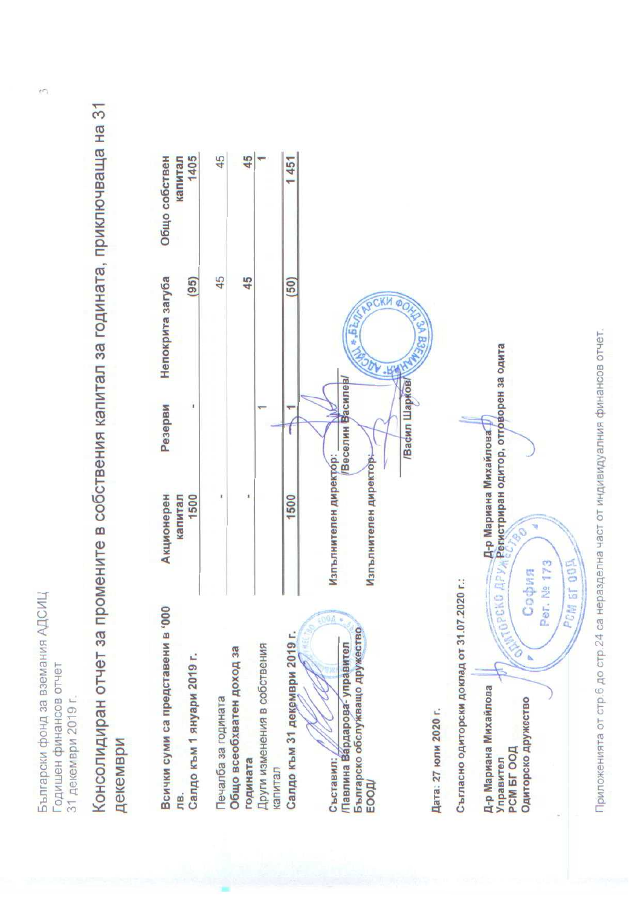Български фонд за вземания АДСИЦ Годишен финансов отчет 31 декември 2019 г. Консолидиран отчет за промените в собствения капитал за годината, приключваща на 31 декември



Приложенията от стр.6 до стр.24 са неразделна част от индивидуалния финансов отчет.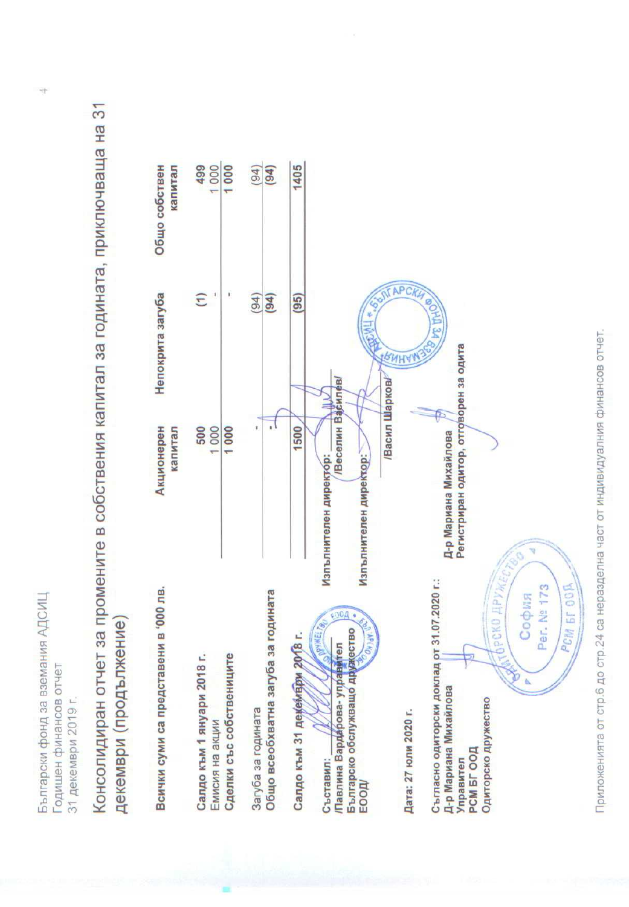Български фонд за вземания АДСИЦ Годишен финансов отчет 31 декември 2019 г. Консолидиран отчет за промените в собствения капитал за годината, приключваща на 31 декември (продължение)



Приложенията от стр.6 до стр.24 са неразделна част от индивидуалния финансов отчет.